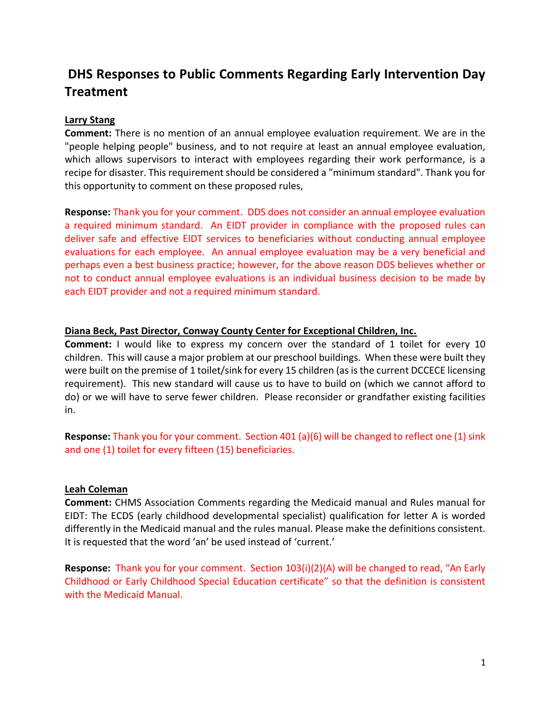# DHS Responses to Public Comments Regarding Early Intervention Day **Treatment**

# Larry Stang

Comment: There is no mention of an annual employee evaluation requirement. We are in the "people helping people" business, and to not require at least an annual employee evaluation, which allows supervisors to interact with employees regarding their work performance, is a recipe for disaster. This requirement should be considered a "minimum standard". Thank you for this opportunity to comment on these proposed rules,

Response: Thank you for your comment. DDS does not consider an annual employee evaluation a required minimum standard. An EIDT provider in compliance with the proposed rules can deliver safe and effective EIDT services to beneficiaries without conducting annual employee evaluations for each employee. An annual employee evaluation may be a very beneficial and perhaps even a best business practice; however, for the above reason DDS believes whether or not to conduct annual employee evaluations is an individual business decision to be made by each EIDT provider and not a required minimum standard.

## Diana Beck, Past Director, Conway County Center for Exceptional Children, Inc.

Comment: I would like to express my concern over the standard of 1 toilet for every 10 children. This will cause a major problem at our preschool buildings. When these were built they were built on the premise of 1 toilet/sink for every 15 children (as is the current DCCECE licensing requirement). This new standard will cause us to have to build on (which we cannot afford to do) or we will have to serve fewer children. Please reconsider or grandfather existing facilities in.

Response: Thank you for your comment. Section 401 (a)(6) will be changed to reflect one (1) sink and one (1) toilet for every fifteen (15) beneficiaries.

## Leah Coleman

Comment: CHMS Association Comments regarding the Medicaid manual and Rules manual for EIDT: The ECDS (early childhood developmental specialist) qualification for letter A is worded differently in the Medicaid manual and the rules manual. Please make the definitions consistent. It is requested that the word 'an' be used instead of 'current.'

Response: Thank you for your comment. Section 103(i)(2)(A) will be changed to read, "An Early Childhood or Early Childhood Special Education certificate" so that the definition is consistent with the Medicaid Manual.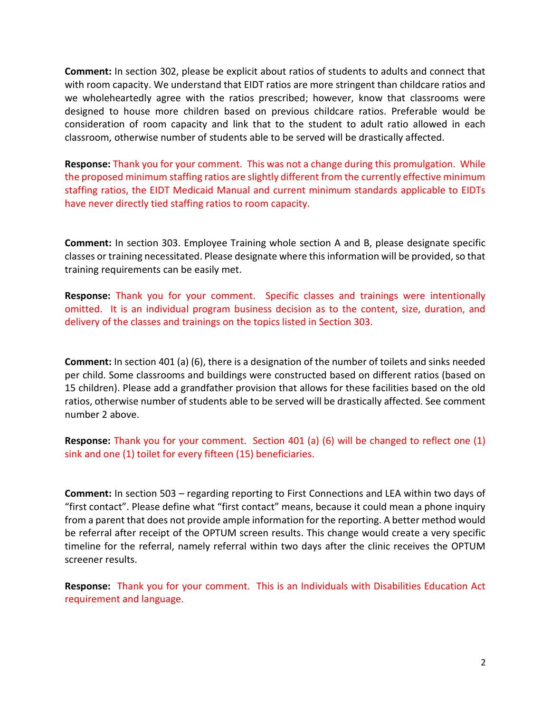Comment: In section 302, please be explicit about ratios of students to adults and connect that with room capacity. We understand that EIDT ratios are more stringent than childcare ratios and we wholeheartedly agree with the ratios prescribed; however, know that classrooms were designed to house more children based on previous childcare ratios. Preferable would be consideration of room capacity and link that to the student to adult ratio allowed in each classroom, otherwise number of students able to be served will be drastically affected.

Response: Thank you for your comment. This was not a change during this promulgation. While the proposed minimum staffing ratios are slightly different from the currently effective minimum staffing ratios, the EIDT Medicaid Manual and current minimum standards applicable to EIDTs have never directly tied staffing ratios to room capacity.

Comment: In section 303. Employee Training whole section A and B, please designate specific classes or training necessitated. Please designate where this information will be provided, so that training requirements can be easily met.

Response: Thank you for your comment. Specific classes and trainings were intentionally omitted. It is an individual program business decision as to the content, size, duration, and delivery of the classes and trainings on the topics listed in Section 303.

Comment: In section 401 (a) (6), there is a designation of the number of toilets and sinks needed per child. Some classrooms and buildings were constructed based on different ratios (based on 15 children). Please add a grandfather provision that allows for these facilities based on the old ratios, otherwise number of students able to be served will be drastically affected. See comment number 2 above.

Response: Thank you for your comment. Section 401 (a) (6) will be changed to reflect one (1) sink and one (1) toilet for every fifteen (15) beneficiaries.

Comment: In section 503 – regarding reporting to First Connections and LEA within two days of "first contact". Please define what "first contact" means, because it could mean a phone inquiry from a parent that does not provide ample information for the reporting. A better method would be referral after receipt of the OPTUM screen results. This change would create a very specific timeline for the referral, namely referral within two days after the clinic receives the OPTUM screener results.

Response: Thank you for your comment. This is an Individuals with Disabilities Education Act requirement and language.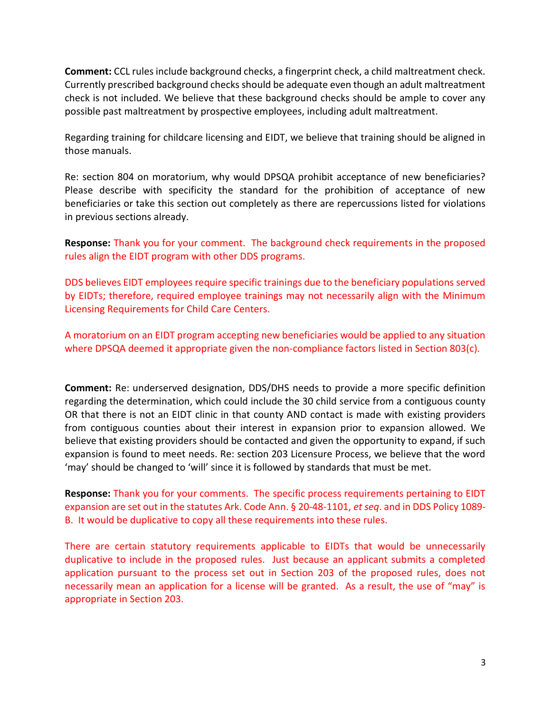Comment: CCL rules include background checks, a fingerprint check, a child maltreatment check. Currently prescribed background checks should be adequate even though an adult maltreatment check is not included. We believe that these background checks should be ample to cover any possible past maltreatment by prospective employees, including adult maltreatment.

Regarding training for childcare licensing and EIDT, we believe that training should be aligned in those manuals.

Re: section 804 on moratorium, why would DPSQA prohibit acceptance of new beneficiaries? Please describe with specificity the standard for the prohibition of acceptance of new beneficiaries or take this section out completely as there are repercussions listed for violations in previous sections already.

Response: Thank you for your comment. The background check requirements in the proposed rules align the EIDT program with other DDS programs.

DDS believes EIDT employees require specific trainings due to the beneficiary populations served by EIDTs; therefore, required employee trainings may not necessarily align with the Minimum Licensing Requirements for Child Care Centers.

A moratorium on an EIDT program accepting new beneficiaries would be applied to any situation where DPSQA deemed it appropriate given the non-compliance factors listed in Section 803(c).

Comment: Re: underserved designation, DDS/DHS needs to provide a more specific definition regarding the determination, which could include the 30 child service from a contiguous county OR that there is not an EIDT clinic in that county AND contact is made with existing providers from contiguous counties about their interest in expansion prior to expansion allowed. We believe that existing providers should be contacted and given the opportunity to expand, if such expansion is found to meet needs. Re: section 203 Licensure Process, we believe that the word 'may' should be changed to 'will' since it is followed by standards that must be met.

Response: Thank you for your comments. The specific process requirements pertaining to EIDT expansion are set out in the statutes Ark. Code Ann. § 20-48-1101, et seq. and in DDS Policy 1089-B. It would be duplicative to copy all these requirements into these rules.

There are certain statutory requirements applicable to EIDTs that would be unnecessarily duplicative to include in the proposed rules. Just because an applicant submits a completed application pursuant to the process set out in Section 203 of the proposed rules, does not necessarily mean an application for a license will be granted. As a result, the use of "may" is appropriate in Section 203.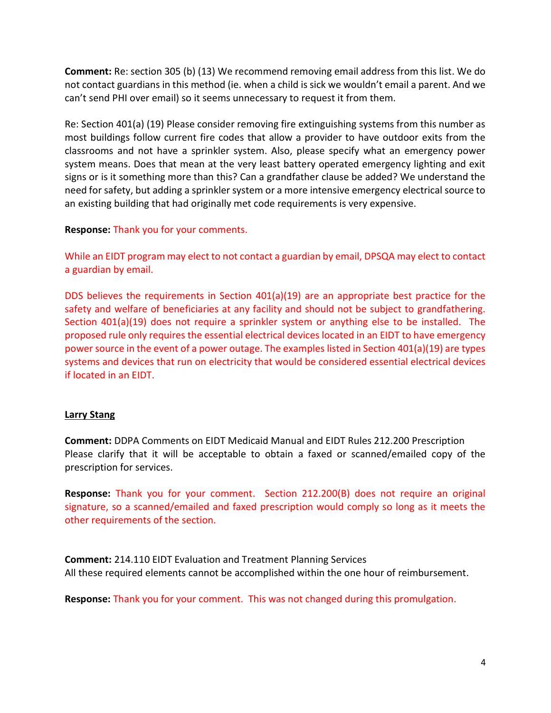Comment: Re: section 305 (b) (13) We recommend removing email address from this list. We do not contact guardians in this method (ie. when a child is sick we wouldn't email a parent. And we can't send PHI over email) so it seems unnecessary to request it from them.

Re: Section 401(a) (19) Please consider removing fire extinguishing systems from this number as most buildings follow current fire codes that allow a provider to have outdoor exits from the classrooms and not have a sprinkler system. Also, please specify what an emergency power system means. Does that mean at the very least battery operated emergency lighting and exit signs or is it something more than this? Can a grandfather clause be added? We understand the need for safety, but adding a sprinkler system or a more intensive emergency electrical source to an existing building that had originally met code requirements is very expensive.

# Response: Thank you for your comments.

While an EIDT program may elect to not contact a guardian by email, DPSQA may elect to contact a guardian by email.

DDS believes the requirements in Section  $401(a)(19)$  are an appropriate best practice for the safety and welfare of beneficiaries at any facility and should not be subject to grandfathering. Section 401(a)(19) does not require a sprinkler system or anything else to be installed. The proposed rule only requires the essential electrical devices located in an EIDT to have emergency power source in the event of a power outage. The examples listed in Section 401(a)(19) are types systems and devices that run on electricity that would be considered essential electrical devices if located in an EIDT.

## Larry Stang

Comment: DDPA Comments on EIDT Medicaid Manual and EIDT Rules 212.200 Prescription Please clarify that it will be acceptable to obtain a faxed or scanned/emailed copy of the prescription for services.

Response: Thank you for your comment. Section 212.200(B) does not require an original signature, so a scanned/emailed and faxed prescription would comply so long as it meets the other requirements of the section.

Comment: 214.110 EIDT Evaluation and Treatment Planning Services All these required elements cannot be accomplished within the one hour of reimbursement.

Response: Thank you for your comment. This was not changed during this promulgation.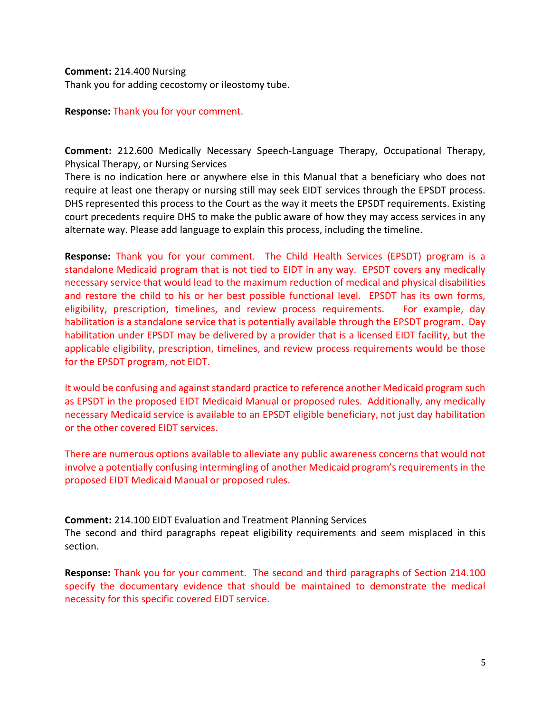#### Comment: 214.400 Nursing

Thank you for adding cecostomy or ileostomy tube.

## Response: Thank you for your comment.

Comment: 212.600 Medically Necessary Speech-Language Therapy, Occupational Therapy, Physical Therapy, or Nursing Services

There is no indication here or anywhere else in this Manual that a beneficiary who does not require at least one therapy or nursing still may seek EIDT services through the EPSDT process. DHS represented this process to the Court as the way it meets the EPSDT requirements. Existing court precedents require DHS to make the public aware of how they may access services in any alternate way. Please add language to explain this process, including the timeline.

Response: Thank you for your comment. The Child Health Services (EPSDT) program is a standalone Medicaid program that is not tied to EIDT in any way. EPSDT covers any medically necessary service that would lead to the maximum reduction of medical and physical disabilities and restore the child to his or her best possible functional level. EPSDT has its own forms, eligibility, prescription, timelines, and review process requirements. For example, day habilitation is a standalone service that is potentially available through the EPSDT program. Day habilitation under EPSDT may be delivered by a provider that is a licensed EIDT facility, but the applicable eligibility, prescription, timelines, and review process requirements would be those for the EPSDT program, not EIDT.

It would be confusing and against standard practice to reference another Medicaid program such as EPSDT in the proposed EIDT Medicaid Manual or proposed rules. Additionally, any medically necessary Medicaid service is available to an EPSDT eligible beneficiary, not just day habilitation or the other covered EIDT services.

There are numerous options available to alleviate any public awareness concerns that would not involve a potentially confusing intermingling of another Medicaid program's requirements in the proposed EIDT Medicaid Manual or proposed rules.

Comment: 214.100 EIDT Evaluation and Treatment Planning Services

The second and third paragraphs repeat eligibility requirements and seem misplaced in this section.

Response: Thank you for your comment. The second and third paragraphs of Section 214.100 specify the documentary evidence that should be maintained to demonstrate the medical necessity for this specific covered EIDT service.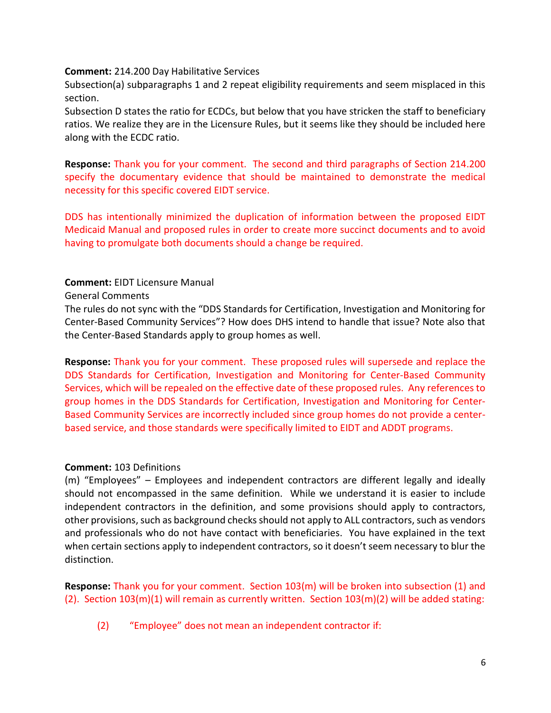#### Comment: 214.200 Day Habilitative Services

Subsection(a) subparagraphs 1 and 2 repeat eligibility requirements and seem misplaced in this section.

Subsection D states the ratio for ECDCs, but below that you have stricken the staff to beneficiary ratios. We realize they are in the Licensure Rules, but it seems like they should be included here along with the ECDC ratio.

Response: Thank you for your comment. The second and third paragraphs of Section 214.200 specify the documentary evidence that should be maintained to demonstrate the medical necessity for this specific covered EIDT service.

DDS has intentionally minimized the duplication of information between the proposed EIDT Medicaid Manual and proposed rules in order to create more succinct documents and to avoid having to promulgate both documents should a change be required.

## Comment: EIDT Licensure Manual

General Comments

The rules do not sync with the "DDS Standards for Certification, Investigation and Monitoring for Center-Based Community Services"? How does DHS intend to handle that issue? Note also that the Center-Based Standards apply to group homes as well.

Response: Thank you for your comment. These proposed rules will supersede and replace the DDS Standards for Certification, Investigation and Monitoring for Center-Based Community Services, which will be repealed on the effective date of these proposed rules. Any references to group homes in the DDS Standards for Certification, Investigation and Monitoring for Center-Based Community Services are incorrectly included since group homes do not provide a centerbased service, and those standards were specifically limited to EIDT and ADDT programs.

# Comment: 103 Definitions

(m) "Employees" – Employees and independent contractors are different legally and ideally should not encompassed in the same definition. While we understand it is easier to include independent contractors in the definition, and some provisions should apply to contractors, other provisions, such as background checks should not apply to ALL contractors, such as vendors and professionals who do not have contact with beneficiaries. You have explained in the text when certain sections apply to independent contractors, so it doesn't seem necessary to blur the distinction.

Response: Thank you for your comment. Section 103(m) will be broken into subsection (1) and (2). Section 103(m)(1) will remain as currently written. Section 103(m)(2) will be added stating:

(2) "Employee" does not mean an independent contractor if: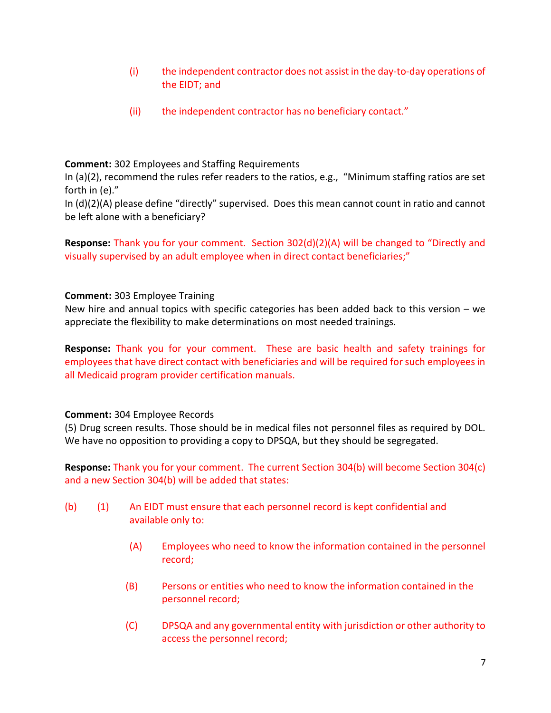- (i) the independent contractor does not assist in the day-to-day operations of the EIDT; and
- (ii) the independent contractor has no beneficiary contact."

# Comment: 302 Employees and Staffing Requirements

In (a)(2), recommend the rules refer readers to the ratios, e.g., "Minimum staffing ratios are set forth in (e)."

In (d)(2)(A) please define "directly" supervised. Does this mean cannot count in ratio and cannot be left alone with a beneficiary?

Response: Thank you for your comment. Section 302(d)(2)(A) will be changed to "Directly and visually supervised by an adult employee when in direct contact beneficiaries;"

# Comment: 303 Employee Training

New hire and annual topics with specific categories has been added back to this version – we appreciate the flexibility to make determinations on most needed trainings.

Response: Thank you for your comment. These are basic health and safety trainings for employees that have direct contact with beneficiaries and will be required for such employees in all Medicaid program provider certification manuals.

## Comment: 304 Employee Records

(5) Drug screen results. Those should be in medical files not personnel files as required by DOL. We have no opposition to providing a copy to DPSQA, but they should be segregated.

Response: Thank you for your comment. The current Section 304(b) will become Section 304(c) and a new Section 304(b) will be added that states:

- (b) (1) An EIDT must ensure that each personnel record is kept confidential and available only to:
	- (A) Employees who need to know the information contained in the personnel record;
	- (B) Persons or entities who need to know the information contained in the personnel record;
	- (C) DPSQA and any governmental entity with jurisdiction or other authority to access the personnel record;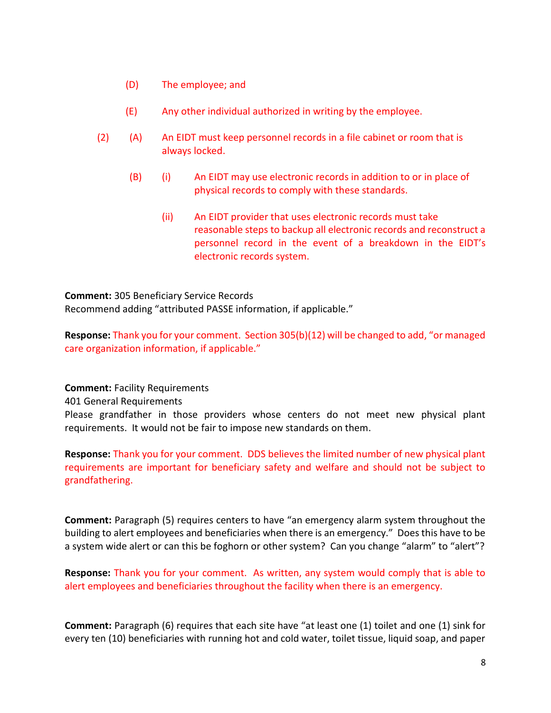- (D) The employee; and
- (E) Any other individual authorized in writing by the employee.
- (2) (A) An EIDT must keep personnel records in a file cabinet or room that is always locked.
	- (B) (i) An EIDT may use electronic records in addition to or in place of physical records to comply with these standards.
		- (ii) An EIDT provider that uses electronic records must take reasonable steps to backup all electronic records and reconstruct a personnel record in the event of a breakdown in the EIDT's electronic records system.

Comment: 305 Beneficiary Service Records Recommend adding "attributed PASSE information, if applicable."

Response: Thank you for your comment. Section 305(b)(12) will be changed to add, "or managed care organization information, if applicable."

Comment: Facility Requirements

401 General Requirements

Please grandfather in those providers whose centers do not meet new physical plant requirements. It would not be fair to impose new standards on them.

Response: Thank you for your comment. DDS believes the limited number of new physical plant requirements are important for beneficiary safety and welfare and should not be subject to grandfathering.

Comment: Paragraph (5) requires centers to have "an emergency alarm system throughout the building to alert employees and beneficiaries when there is an emergency." Does this have to be a system wide alert or can this be foghorn or other system? Can you change "alarm" to "alert"?

Response: Thank you for your comment. As written, any system would comply that is able to alert employees and beneficiaries throughout the facility when there is an emergency.

Comment: Paragraph (6) requires that each site have "at least one (1) toilet and one (1) sink for every ten (10) beneficiaries with running hot and cold water, toilet tissue, liquid soap, and paper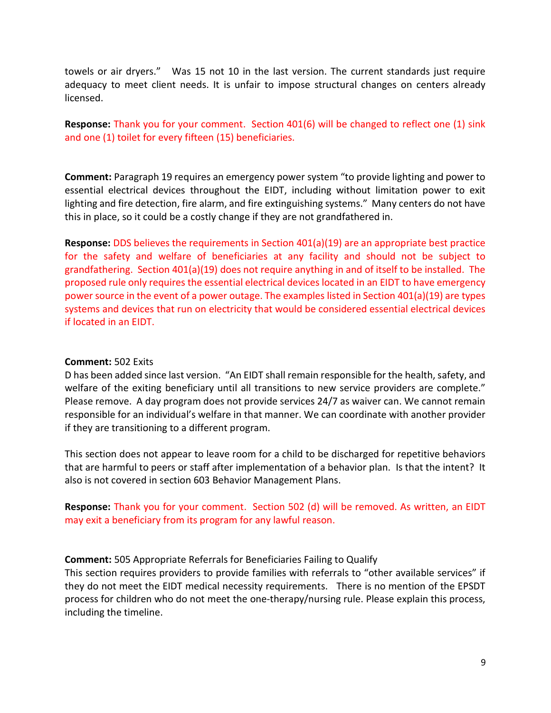towels or air dryers." Was 15 not 10 in the last version. The current standards just require adequacy to meet client needs. It is unfair to impose structural changes on centers already licensed.

Response: Thank you for your comment. Section 401(6) will be changed to reflect one (1) sink and one (1) toilet for every fifteen (15) beneficiaries.

Comment: Paragraph 19 requires an emergency power system "to provide lighting and power to essential electrical devices throughout the EIDT, including without limitation power to exit lighting and fire detection, fire alarm, and fire extinguishing systems." Many centers do not have this in place, so it could be a costly change if they are not grandfathered in.

Response: DDS believes the requirements in Section 401(a)(19) are an appropriate best practice for the safety and welfare of beneficiaries at any facility and should not be subject to grandfathering. Section 401(a)(19) does not require anything in and of itself to be installed. The proposed rule only requires the essential electrical devices located in an EIDT to have emergency power source in the event of a power outage. The examples listed in Section 401(a)(19) are types systems and devices that run on electricity that would be considered essential electrical devices if located in an EIDT.

## Comment: 502 Exits

D has been added since last version. "An EIDT shall remain responsible for the health, safety, and welfare of the exiting beneficiary until all transitions to new service providers are complete." Please remove. A day program does not provide services 24/7 as waiver can. We cannot remain responsible for an individual's welfare in that manner. We can coordinate with another provider if they are transitioning to a different program.

This section does not appear to leave room for a child to be discharged for repetitive behaviors that are harmful to peers or staff after implementation of a behavior plan. Is that the intent? It also is not covered in section 603 Behavior Management Plans.

# Response: Thank you for your comment. Section 502 (d) will be removed. As written, an EIDT may exit a beneficiary from its program for any lawful reason.

## Comment: 505 Appropriate Referrals for Beneficiaries Failing to Qualify

This section requires providers to provide families with referrals to "other available services" if they do not meet the EIDT medical necessity requirements. There is no mention of the EPSDT process for children who do not meet the one-therapy/nursing rule. Please explain this process, including the timeline.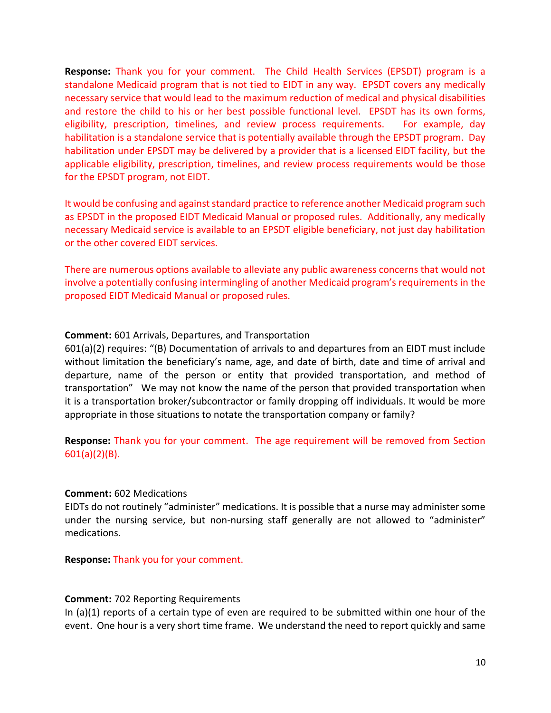Response: Thank you for your comment. The Child Health Services (EPSDT) program is a standalone Medicaid program that is not tied to EIDT in any way. EPSDT covers any medically necessary service that would lead to the maximum reduction of medical and physical disabilities and restore the child to his or her best possible functional level. EPSDT has its own forms, eligibility, prescription, timelines, and review process requirements. For example, day habilitation is a standalone service that is potentially available through the EPSDT program. Day habilitation under EPSDT may be delivered by a provider that is a licensed EIDT facility, but the applicable eligibility, prescription, timelines, and review process requirements would be those for the EPSDT program, not EIDT.

It would be confusing and against standard practice to reference another Medicaid program such as EPSDT in the proposed EIDT Medicaid Manual or proposed rules. Additionally, any medically necessary Medicaid service is available to an EPSDT eligible beneficiary, not just day habilitation or the other covered EIDT services.

There are numerous options available to alleviate any public awareness concerns that would not involve a potentially confusing intermingling of another Medicaid program's requirements in the proposed EIDT Medicaid Manual or proposed rules.

## Comment: 601 Arrivals, Departures, and Transportation

601(a)(2) requires: "(B) Documentation of arrivals to and departures from an EIDT must include without limitation the beneficiary's name, age, and date of birth, date and time of arrival and departure, name of the person or entity that provided transportation, and method of transportation" We may not know the name of the person that provided transportation when it is a transportation broker/subcontractor or family dropping off individuals. It would be more appropriate in those situations to notate the transportation company or family?

Response: Thank you for your comment. The age requirement will be removed from Section 601(a)(2)(B).

#### Comment: 602 Medications

EIDTs do not routinely "administer" medications. It is possible that a nurse may administer some under the nursing service, but non-nursing staff generally are not allowed to "administer" medications.

Response: Thank you for your comment.

## Comment: 702 Reporting Requirements

In (a)(1) reports of a certain type of even are required to be submitted within one hour of the event. One hour is a very short time frame. We understand the need to report quickly and same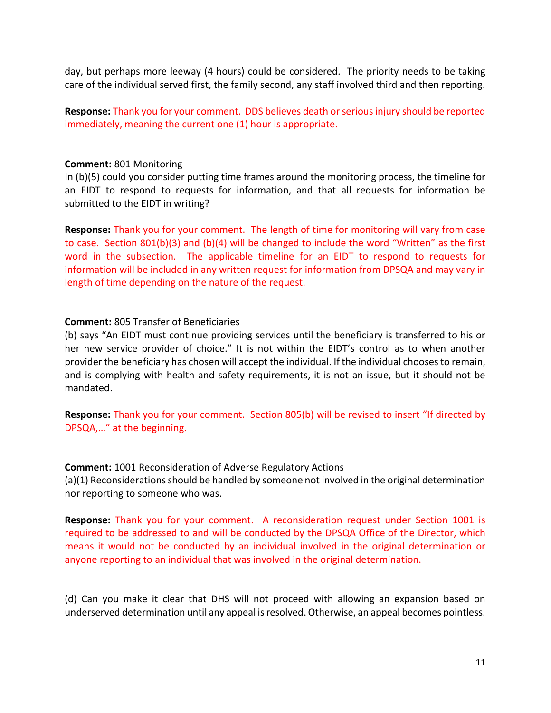day, but perhaps more leeway (4 hours) could be considered. The priority needs to be taking care of the individual served first, the family second, any staff involved third and then reporting.

Response: Thank you for your comment. DDS believes death or serious injury should be reported immediately, meaning the current one (1) hour is appropriate.

#### Comment: 801 Monitoring

In (b)(5) could you consider putting time frames around the monitoring process, the timeline for an EIDT to respond to requests for information, and that all requests for information be submitted to the EIDT in writing?

Response: Thank you for your comment. The length of time for monitoring will vary from case to case. Section 801(b)(3) and (b)(4) will be changed to include the word "Written" as the first word in the subsection. The applicable timeline for an EIDT to respond to requests for information will be included in any written request for information from DPSQA and may vary in length of time depending on the nature of the request.

## Comment: 805 Transfer of Beneficiaries

(b) says "An EIDT must continue providing services until the beneficiary is transferred to his or her new service provider of choice." It is not within the EIDT's control as to when another provider the beneficiary has chosen will accept the individual. If the individual chooses to remain, and is complying with health and safety requirements, it is not an issue, but it should not be mandated.

Response: Thank you for your comment. Section 805(b) will be revised to insert "If directed by DPSQA,…" at the beginning.

Comment: 1001 Reconsideration of Adverse Regulatory Actions (a)(1) Reconsiderations should be handled by someone not involved in the original determination nor reporting to someone who was.

Response: Thank you for your comment. A reconsideration request under Section 1001 is required to be addressed to and will be conducted by the DPSQA Office of the Director, which means it would not be conducted by an individual involved in the original determination or anyone reporting to an individual that was involved in the original determination.

(d) Can you make it clear that DHS will not proceed with allowing an expansion based on underserved determination until any appeal is resolved. Otherwise, an appeal becomes pointless.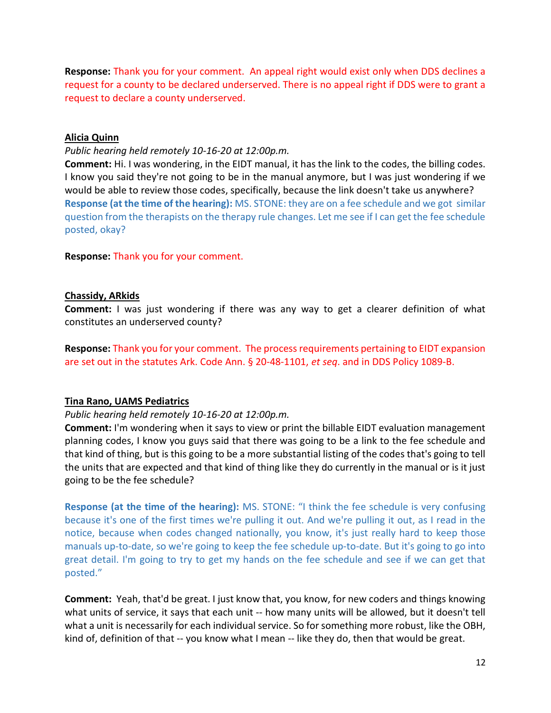Response: Thank you for your comment. An appeal right would exist only when DDS declines a request for a county to be declared underserved. There is no appeal right if DDS were to grant a request to declare a county underserved.

## Alicia Quinn

## Public hearing held remotely 10-16-20 at 12:00p.m.

Comment: Hi. I was wondering, in the EIDT manual, it has the link to the codes, the billing codes. I know you said they're not going to be in the manual anymore, but I was just wondering if we would be able to review those codes, specifically, because the link doesn't take us anywhere? Response (at the time of the hearing): MS. STONE: they are on a fee schedule and we got similar question from the therapists on the therapy rule changes. Let me see if I can get the fee schedule posted, okay?

Response: Thank you for your comment.

## Chassidy, ARkids

Comment: I was just wondering if there was any way to get a clearer definition of what constitutes an underserved county?

Response: Thank you for your comment. The process requirements pertaining to EIDT expansion are set out in the statutes Ark. Code Ann. § 20-48-1101, et seq. and in DDS Policy 1089-B.

## Tina Rano, UAMS Pediatrics

## Public hearing held remotely 10-16-20 at 12:00p.m.

Comment: I'm wondering when it says to view or print the billable EIDT evaluation management planning codes, I know you guys said that there was going to be a link to the fee schedule and that kind of thing, but is this going to be a more substantial listing of the codes that's going to tell the units that are expected and that kind of thing like they do currently in the manual or is it just going to be the fee schedule?

Response (at the time of the hearing): MS. STONE: "I think the fee schedule is very confusing because it's one of the first times we're pulling it out. And we're pulling it out, as I read in the notice, because when codes changed nationally, you know, it's just really hard to keep those manuals up-to-date, so we're going to keep the fee schedule up-to-date. But it's going to go into great detail. I'm going to try to get my hands on the fee schedule and see if we can get that posted."

Comment: Yeah, that'd be great. I just know that, you know, for new coders and things knowing what units of service, it says that each unit -- how many units will be allowed, but it doesn't tell what a unit is necessarily for each individual service. So for something more robust, like the OBH, kind of, definition of that -- you know what I mean -- like they do, then that would be great.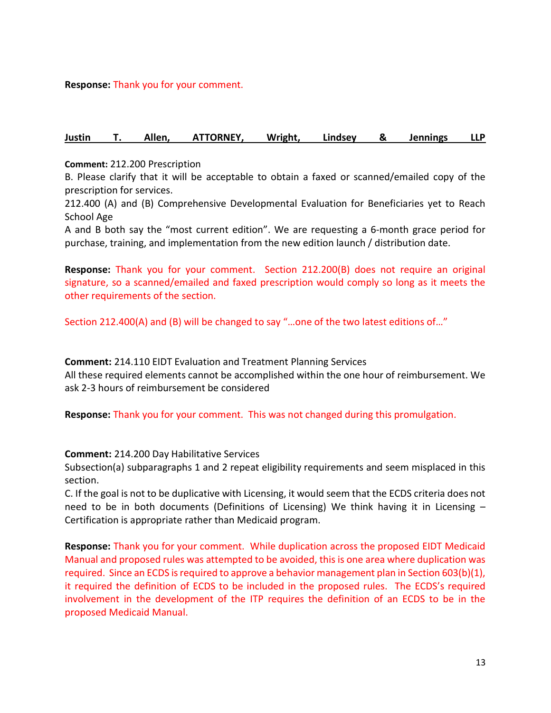Response: Thank you for your comment.

#### Justin T. Allen, ATTORNEY, Wright, Lindsey & Jennings LLP

#### Comment: 212.200 Prescription

B. Please clarify that it will be acceptable to obtain a faxed or scanned/emailed copy of the prescription for services.

212.400 (A) and (B) Comprehensive Developmental Evaluation for Beneficiaries yet to Reach School Age

A and B both say the "most current edition". We are requesting a 6-month grace period for purchase, training, and implementation from the new edition launch / distribution date.

Response: Thank you for your comment. Section 212.200(B) does not require an original signature, so a scanned/emailed and faxed prescription would comply so long as it meets the other requirements of the section.

Section 212.400(A) and (B) will be changed to say "…one of the two latest editions of…"

Comment: 214.110 EIDT Evaluation and Treatment Planning Services All these required elements cannot be accomplished within the one hour of reimbursement. We ask 2-3 hours of reimbursement be considered

Response: Thank you for your comment. This was not changed during this promulgation.

#### Comment: 214.200 Day Habilitative Services

Subsection(a) subparagraphs 1 and 2 repeat eligibility requirements and seem misplaced in this section.

C. If the goal is not to be duplicative with Licensing, it would seem that the ECDS criteria does not need to be in both documents (Definitions of Licensing) We think having it in Licensing – Certification is appropriate rather than Medicaid program.

Response: Thank you for your comment. While duplication across the proposed EIDT Medicaid Manual and proposed rules was attempted to be avoided, this is one area where duplication was required. Since an ECDS is required to approve a behavior management plan in Section 603(b)(1), it required the definition of ECDS to be included in the proposed rules. The ECDS's required involvement in the development of the ITP requires the definition of an ECDS to be in the proposed Medicaid Manual.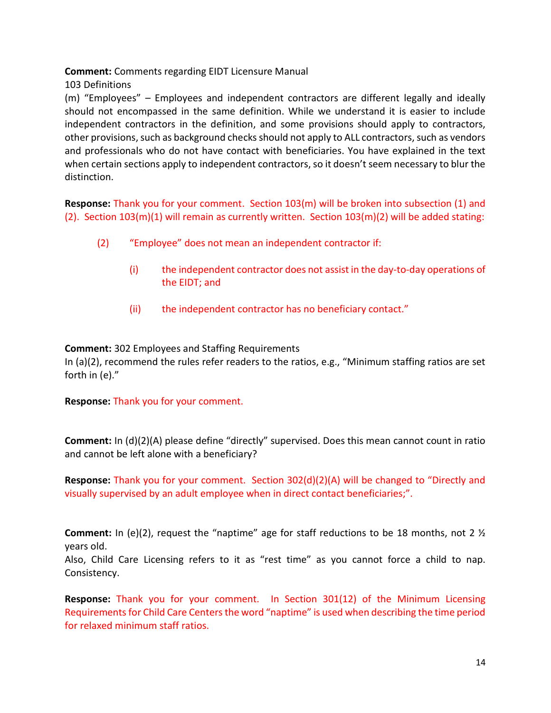Comment: Comments regarding EIDT Licensure Manual

103 Definitions

(m) "Employees" – Employees and independent contractors are different legally and ideally should not encompassed in the same definition. While we understand it is easier to include independent contractors in the definition, and some provisions should apply to contractors, other provisions, such as background checks should not apply to ALL contractors, such as vendors and professionals who do not have contact with beneficiaries. You have explained in the text when certain sections apply to independent contractors, so it doesn't seem necessary to blur the distinction.

Response: Thank you for your comment. Section 103(m) will be broken into subsection (1) and (2). Section  $103(m)(1)$  will remain as currently written. Section  $103(m)(2)$  will be added stating:

- (2) "Employee" does not mean an independent contractor if:
	- (i) the independent contractor does not assist in the day-to-day operations of the EIDT; and
	- (ii) the independent contractor has no beneficiary contact."

# Comment: 302 Employees and Staffing Requirements

In (a)(2), recommend the rules refer readers to the ratios, e.g., "Minimum staffing ratios are set forth in (e)."

## Response: Thank you for your comment.

Comment: In (d)(2)(A) please define "directly" supervised. Does this mean cannot count in ratio and cannot be left alone with a beneficiary?

Response: Thank you for your comment. Section 302(d)(2)(A) will be changed to "Directly and visually supervised by an adult employee when in direct contact beneficiaries;".

**Comment:** In (e)(2), request the "naptime" age for staff reductions to be 18 months, not 2  $\frac{1}{2}$ years old.

Also, Child Care Licensing refers to it as "rest time" as you cannot force a child to nap. Consistency.

Response: Thank you for your comment. In Section 301(12) of the Minimum Licensing Requirements for Child Care Centers the word "naptime" is used when describing the time period for relaxed minimum staff ratios.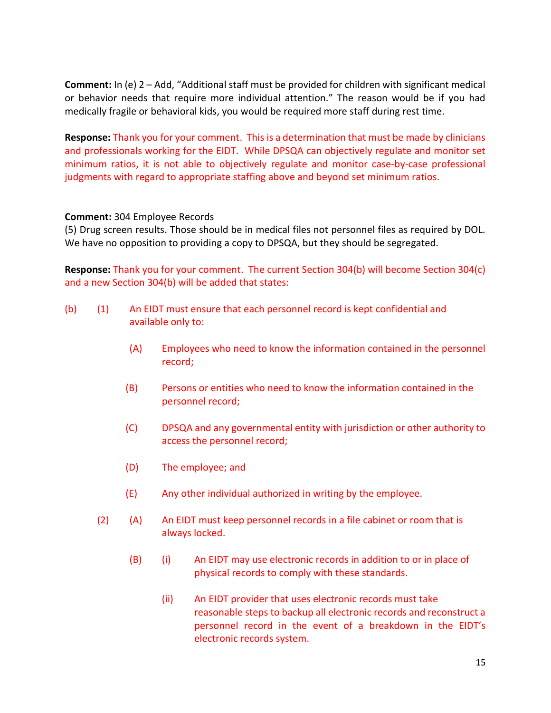Comment: In (e) 2 – Add, "Additional staff must be provided for children with significant medical or behavior needs that require more individual attention." The reason would be if you had medically fragile or behavioral kids, you would be required more staff during rest time.

Response: Thank you for your comment. This is a determination that must be made by clinicians and professionals working for the EIDT. While DPSQA can objectively regulate and monitor set minimum ratios, it is not able to objectively regulate and monitor case-by-case professional judgments with regard to appropriate staffing above and beyond set minimum ratios.

## Comment: 304 Employee Records

(5) Drug screen results. Those should be in medical files not personnel files as required by DOL. We have no opposition to providing a copy to DPSQA, but they should be segregated.

Response: Thank you for your comment. The current Section 304(b) will become Section 304(c) and a new Section 304(b) will be added that states:

- (b) (1) An EIDT must ensure that each personnel record is kept confidential and available only to:
	- (A) Employees who need to know the information contained in the personnel record;
	- (B) Persons or entities who need to know the information contained in the personnel record;
	- (C) DPSQA and any governmental entity with jurisdiction or other authority to access the personnel record;
	- (D) The employee; and
	- (E) Any other individual authorized in writing by the employee.
	- (2) (A) An EIDT must keep personnel records in a file cabinet or room that is always locked.
		- (B) (i) An EIDT may use electronic records in addition to or in place of physical records to comply with these standards.
			- (ii) An EIDT provider that uses electronic records must take reasonable steps to backup all electronic records and reconstruct a personnel record in the event of a breakdown in the EIDT's electronic records system.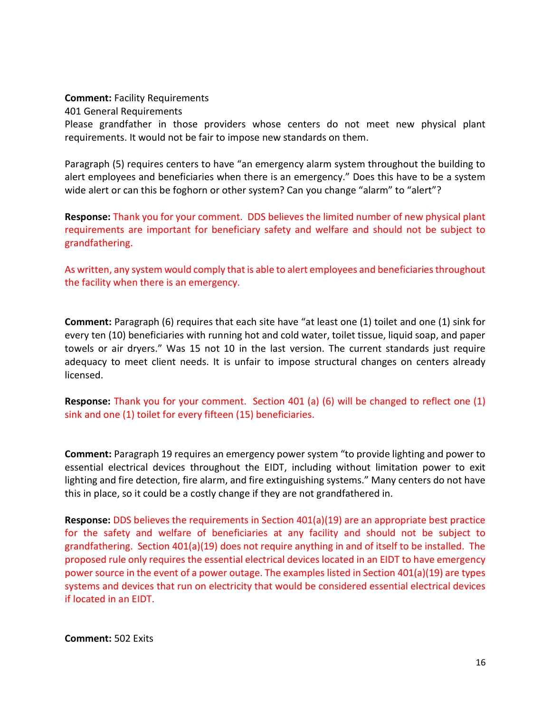#### Comment: Facility Requirements

401 General Requirements

Please grandfather in those providers whose centers do not meet new physical plant requirements. It would not be fair to impose new standards on them.

Paragraph (5) requires centers to have "an emergency alarm system throughout the building to alert employees and beneficiaries when there is an emergency." Does this have to be a system wide alert or can this be foghorn or other system? Can you change "alarm" to "alert"?

Response: Thank you for your comment. DDS believes the limited number of new physical plant requirements are important for beneficiary safety and welfare and should not be subject to grandfathering.

As written, any system would comply that is able to alert employees and beneficiaries throughout the facility when there is an emergency.

Comment: Paragraph (6) requires that each site have "at least one (1) toilet and one (1) sink for every ten (10) beneficiaries with running hot and cold water, toilet tissue, liquid soap, and paper towels or air dryers." Was 15 not 10 in the last version. The current standards just require adequacy to meet client needs. It is unfair to impose structural changes on centers already licensed.

Response: Thank you for your comment. Section 401 (a) (6) will be changed to reflect one (1) sink and one (1) toilet for every fifteen (15) beneficiaries.

Comment: Paragraph 19 requires an emergency power system "to provide lighting and power to essential electrical devices throughout the EIDT, including without limitation power to exit lighting and fire detection, fire alarm, and fire extinguishing systems." Many centers do not have this in place, so it could be a costly change if they are not grandfathered in.

Response: DDS believes the requirements in Section 401(a)(19) are an appropriate best practice for the safety and welfare of beneficiaries at any facility and should not be subject to grandfathering. Section 401(a)(19) does not require anything in and of itself to be installed. The proposed rule only requires the essential electrical devices located in an EIDT to have emergency power source in the event of a power outage. The examples listed in Section 401(a)(19) are types systems and devices that run on electricity that would be considered essential electrical devices if located in an EIDT.

Comment: 502 Exits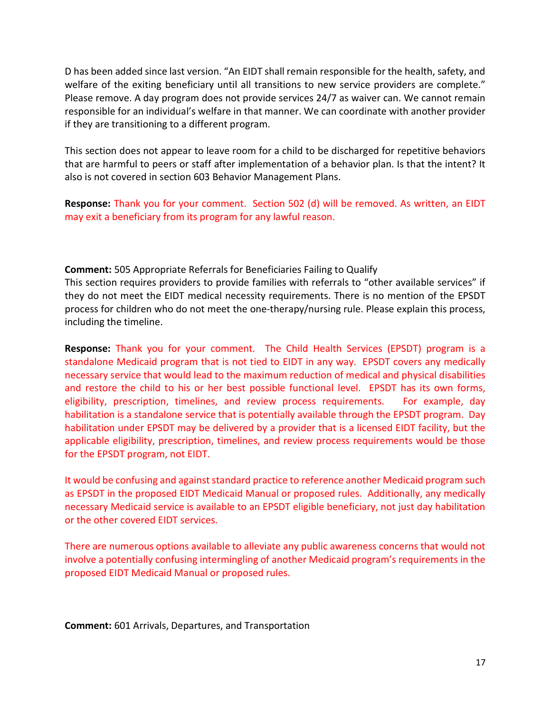D has been added since last version. "An EIDT shall remain responsible for the health, safety, and welfare of the exiting beneficiary until all transitions to new service providers are complete." Please remove. A day program does not provide services 24/7 as waiver can. We cannot remain responsible for an individual's welfare in that manner. We can coordinate with another provider if they are transitioning to a different program.

This section does not appear to leave room for a child to be discharged for repetitive behaviors that are harmful to peers or staff after implementation of a behavior plan. Is that the intent? It also is not covered in section 603 Behavior Management Plans.

Response: Thank you for your comment. Section 502 (d) will be removed. As written, an EIDT may exit a beneficiary from its program for any lawful reason.

Comment: 505 Appropriate Referrals for Beneficiaries Failing to Qualify

This section requires providers to provide families with referrals to "other available services" if they do not meet the EIDT medical necessity requirements. There is no mention of the EPSDT process for children who do not meet the one-therapy/nursing rule. Please explain this process, including the timeline.

Response: Thank you for your comment. The Child Health Services (EPSDT) program is a standalone Medicaid program that is not tied to EIDT in any way. EPSDT covers any medically necessary service that would lead to the maximum reduction of medical and physical disabilities and restore the child to his or her best possible functional level. EPSDT has its own forms, eligibility, prescription, timelines, and review process requirements. For example, day habilitation is a standalone service that is potentially available through the EPSDT program. Day habilitation under EPSDT may be delivered by a provider that is a licensed EIDT facility, but the applicable eligibility, prescription, timelines, and review process requirements would be those for the EPSDT program, not EIDT.

It would be confusing and against standard practice to reference another Medicaid program such as EPSDT in the proposed EIDT Medicaid Manual or proposed rules. Additionally, any medically necessary Medicaid service is available to an EPSDT eligible beneficiary, not just day habilitation or the other covered EIDT services.

There are numerous options available to alleviate any public awareness concerns that would not involve a potentially confusing intermingling of another Medicaid program's requirements in the proposed EIDT Medicaid Manual or proposed rules.

Comment: 601 Arrivals, Departures, and Transportation